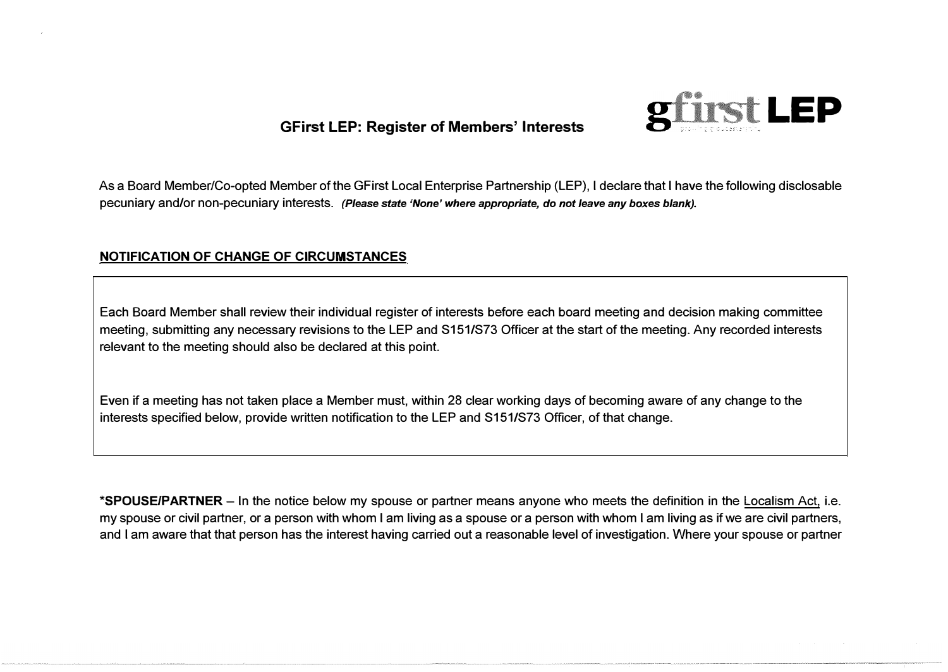

As a Board Member/Co-opted Member of the GFirst Local Enterprise Partnership (LEP), I declare that I have the following disclosable pecuniary and/or non-pecuniary interests. *(Please state 'None' where appropriate, do not leave any boxes blank).* 

### **NOTIFICATION OF CHANGE OF CIRCUMSTANCES**

Each Board Member shall review their individual register of interests before each board meeting and decision making committee meeting, submitting any necessary revisions to the LEP and S151/S73 Officer at the start of the meeting. Any recorded interests relevant to the meeting should also be declared at this point.

Even if a meeting has not taken place a Member must, within 28 clear working days of becoming aware of any change to the interests specified below, provide written notification to the LEP and S151/S73 Officer, of that change.

**\*SPOUSE/PARTNER-** In the notice below my spouse or partner means anyone who meets the definition in the Localism Act, i.e. my spouse or civil partner, or a person with whom I am living as a spouse or a person with whom I am living as if we are civil partners, and I am aware that that person has the interest having carried out a reasonable level of investigation. Where your spouse or partner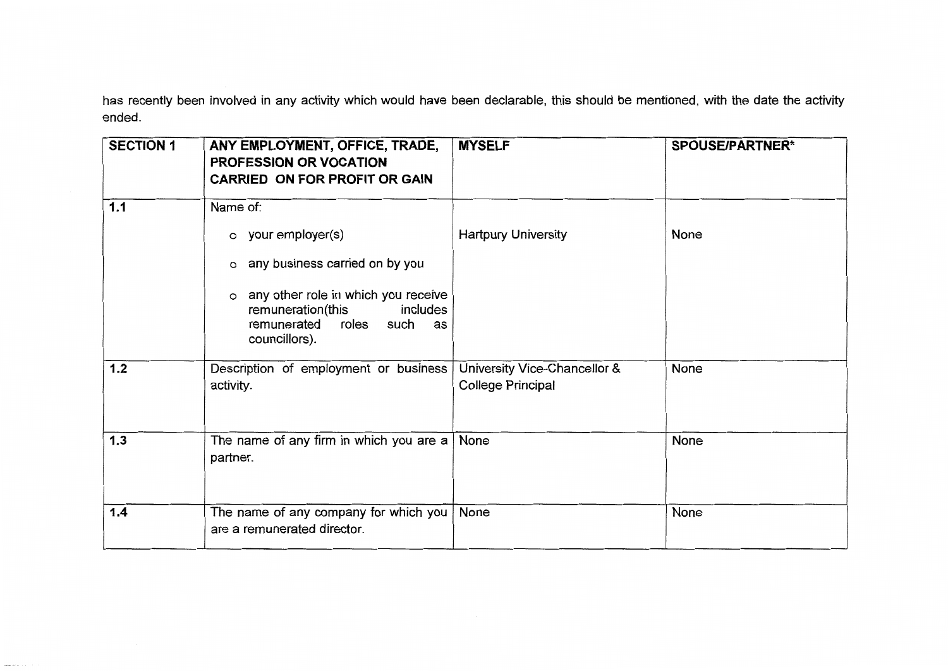has recently been involved in any activity which would have been declarable, this should be mentioned, with the date the activity ended.

| <b>SECTION 1</b> | ANY EMPLOYMENT, OFFICE, TRADE,<br>PROFESSION OR VOCATION<br><b>CARRIED ON FOR PROFIT OR GAIN</b>                                                                                                                         | <b>MYSELF</b>                                            | <b>SPOUSE/PARTNER*</b> |
|------------------|--------------------------------------------------------------------------------------------------------------------------------------------------------------------------------------------------------------------------|----------------------------------------------------------|------------------------|
| 1.1              | Name of:<br>$\circ$ your employer(s)<br>any business carried on by you<br>$\circ$<br>any other role in which you receive<br>$\circ$<br>remuneration(this<br>includes<br>remunerated<br>roles such<br>as<br>councillors). | <b>Hartpury University</b>                               | <b>None</b>            |
| $1.2$            | Description of employment or business<br>activity.                                                                                                                                                                       | University Vice-Chancellor &<br><b>College Principal</b> | None                   |
| $1.3$            | The name of any firm in which you are a<br>partner.                                                                                                                                                                      | None                                                     | None                   |
| 1.4              | The name of any company for which you<br>are a remunerated director.                                                                                                                                                     | None                                                     | None                   |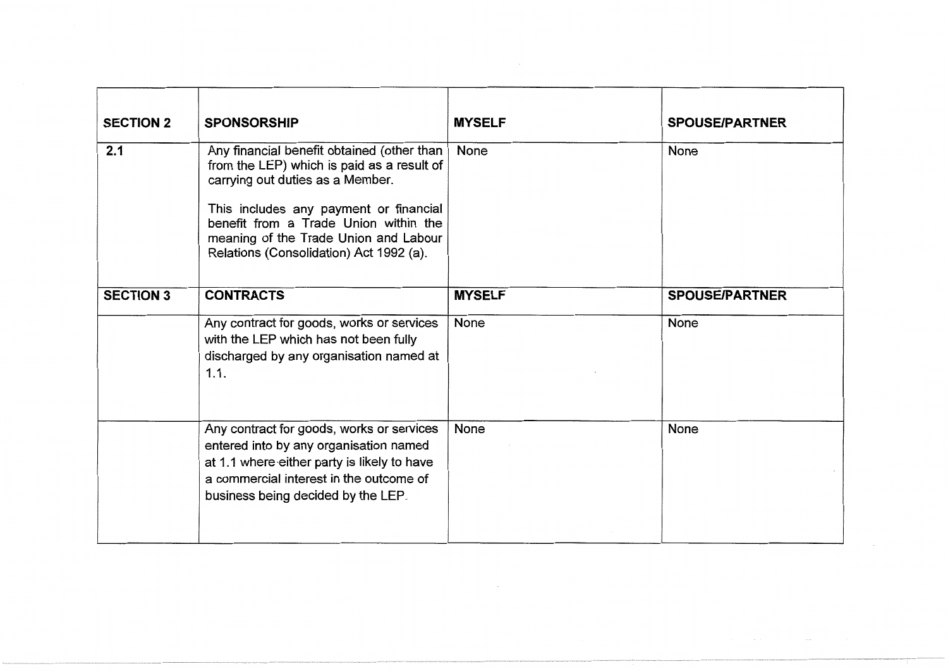| <b>SECTION 2</b> | <b>SPONSORSHIP</b>                                                                                                                                                                                                                                       | <b>MYSELF</b> | <b>SPOUSE/PARTNER</b> |
|------------------|----------------------------------------------------------------------------------------------------------------------------------------------------------------------------------------------------------------------------------------------------------|---------------|-----------------------|
| 2.1              | Any financial benefit obtained (other than<br>from the LEP) which is paid as a result of<br>carrying out duties as a Member.<br>This includes any payment or financial<br>benefit from a Trade Union within the<br>meaning of the Trade Union and Labour | None          | None                  |
| <b>SECTION 3</b> | Relations (Consolidation) Act 1992 (a).<br><b>CONTRACTS</b>                                                                                                                                                                                              | <b>MYSELF</b> | <b>SPOUSE/PARTNER</b> |
|                  | Any contract for goods, works or services<br>with the LEP which has not been fully<br>discharged by any organisation named at<br>1.1.                                                                                                                    | None          | None                  |
|                  | Any contract for goods, works or services<br>entered into by any organisation named<br>at 1.1 where either party is likely to have<br>a commercial interest in the outcome of<br>business being decided by the LEP.                                      | None          | None                  |

 $\mathcal{L}^{\mathcal{L}}(\mathcal{L}^{\mathcal{L}}(\mathcal{L}^{\mathcal{L}}(\mathcal{L}^{\mathcal{L}}(\mathcal{L}^{\mathcal{L}}(\mathcal{L}^{\mathcal{L}}(\mathcal{L}^{\mathcal{L}}(\mathcal{L}^{\mathcal{L}}(\mathcal{L}^{\mathcal{L}}(\mathcal{L}^{\mathcal{L}}(\mathcal{L}^{\mathcal{L}}(\mathcal{L}^{\mathcal{L}}(\mathcal{L}^{\mathcal{L}}(\mathcal{L}^{\mathcal{L}}(\mathcal{L}^{\mathcal{L}}(\mathcal{L}^{\mathcal{L}}(\mathcal{L}^{\mathcal{L$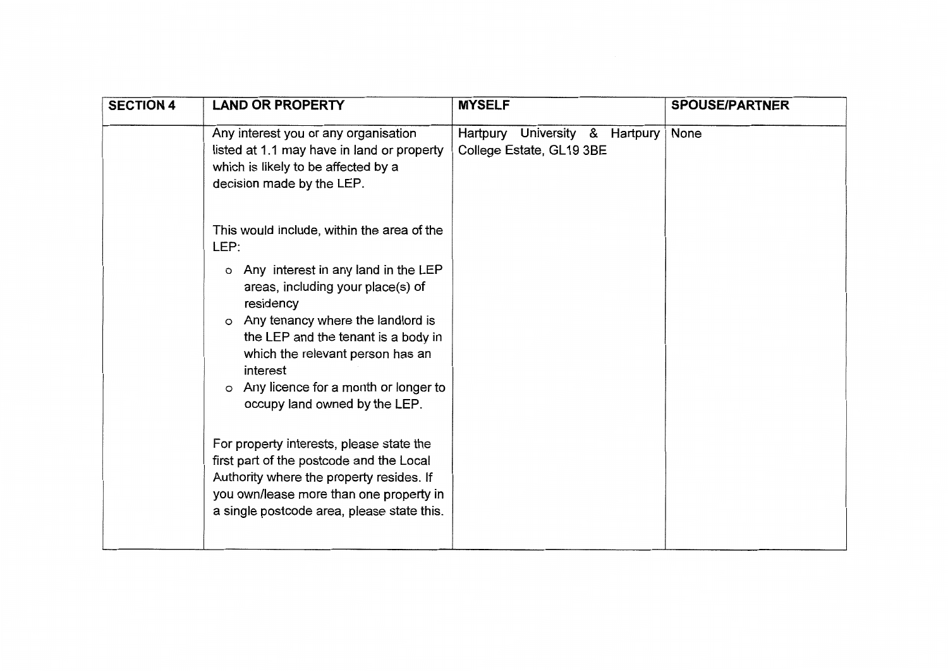| <b>SECTION 4</b> | <b>LAND OR PROPERTY</b>                                                                                                                                                                                                                                                                                      | <b>MYSELF</b>                                                 | <b>SPOUSE/PARTNER</b> |
|------------------|--------------------------------------------------------------------------------------------------------------------------------------------------------------------------------------------------------------------------------------------------------------------------------------------------------------|---------------------------------------------------------------|-----------------------|
|                  | Any interest you or any organisation<br>listed at 1.1 may have in land or property<br>which is likely to be affected by a<br>decision made by the LEP.                                                                                                                                                       | University & Hartpury<br>Hartpury<br>College Estate, GL19 3BE | None                  |
|                  | This would include, within the area of the<br>LEP:                                                                                                                                                                                                                                                           |                                                               |                       |
|                  | o Any interest in any land in the LEP<br>areas, including your place(s) of<br>residency<br>Any tenancy where the landlord is<br>$\circ$<br>the LEP and the tenant is a body in<br>which the relevant person has an<br>interest<br>Any licence for a month or longer to<br>O<br>occupy land owned by the LEP. |                                                               |                       |
|                  | For property interests, please state the<br>first part of the postcode and the Local<br>Authority where the property resides. If<br>you own/lease more than one property in<br>a single postcode area, please state this.                                                                                    |                                                               |                       |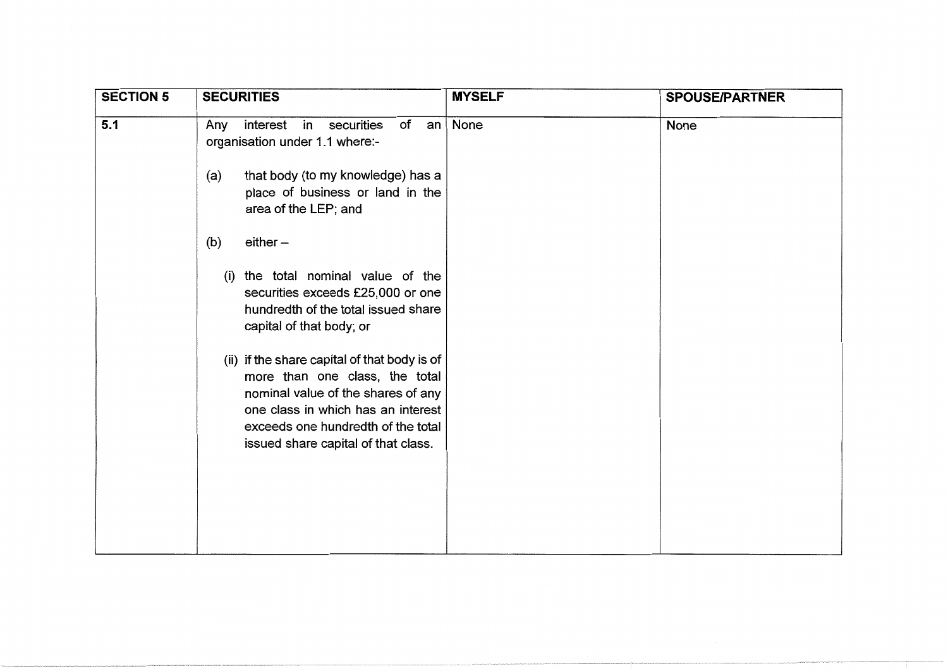| <b>SECTION 5</b> | <b>SECURITIES</b>                                                                                                                                                                                                                       | <b>MYSELF</b> | <b>SPOUSE/PARTNER</b> |
|------------------|-----------------------------------------------------------------------------------------------------------------------------------------------------------------------------------------------------------------------------------------|---------------|-----------------------|
| 5.1              | interest<br>in<br>securities<br>of<br>Any<br>an<br>organisation under 1.1 where:-                                                                                                                                                       | None          | None                  |
|                  | that body (to my knowledge) has a<br>(a)<br>place of business or land in the<br>area of the LEP; and                                                                                                                                    |               |                       |
|                  | $either -$<br>(b)                                                                                                                                                                                                                       |               |                       |
|                  | the total nominal value of the<br>(i)<br>securities exceeds £25,000 or one<br>hundredth of the total issued share<br>capital of that body; or                                                                                           |               |                       |
|                  | (ii) if the share capital of that body is of<br>more than one class, the total<br>nominal value of the shares of any<br>one class in which has an interest<br>exceeds one hundredth of the total<br>issued share capital of that class. |               |                       |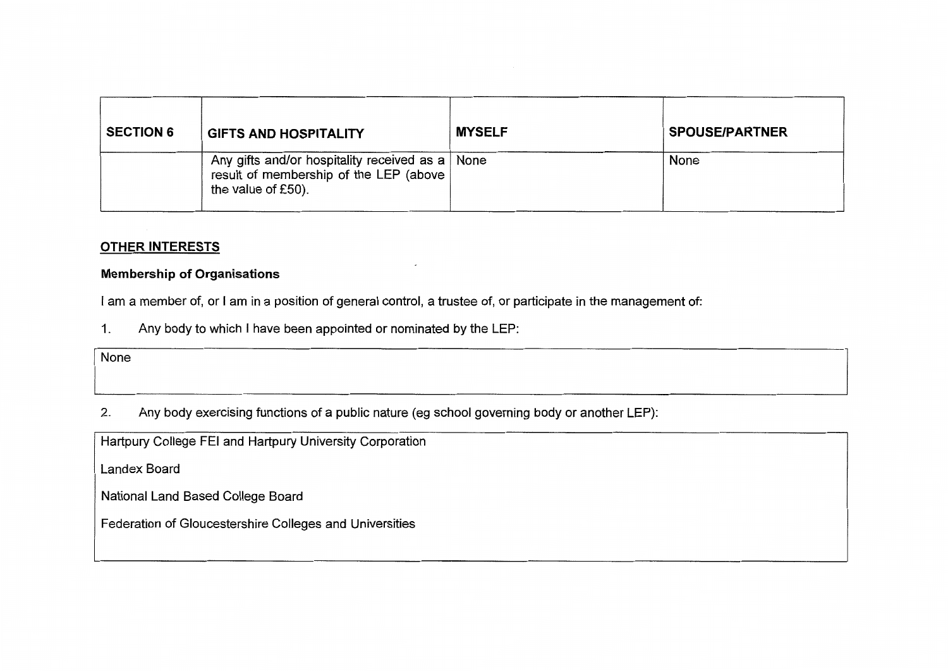| <b>SECTION 6</b> | <b>GIFTS AND HOSPITALITY</b>                                                                                      | <b>MYSELF</b> | <b>SPOUSE/PARTNER</b> |
|------------------|-------------------------------------------------------------------------------------------------------------------|---------------|-----------------------|
|                  | Any gifts and/or hospitality received as a   None<br>result of membership of the LEP (above<br>the value of £50). |               | None                  |

## **OTHER INTERESTS**

### **Membership of Organisations**

I am a member of, or I am in a position of general control, a trustee of, or participate in the management of:

Any body to which I have been appointed or nominated by the LEP:  $\mathbf{1}$ .

None

 $2.$ Any body exercising functions of a public nature (eg school governing body or another LEP):

Hartpury College FEI and Hartpury University Corporation

**Landex Board** 

National Land Based College Board

Federation of Gloucestershire Colleges and Universities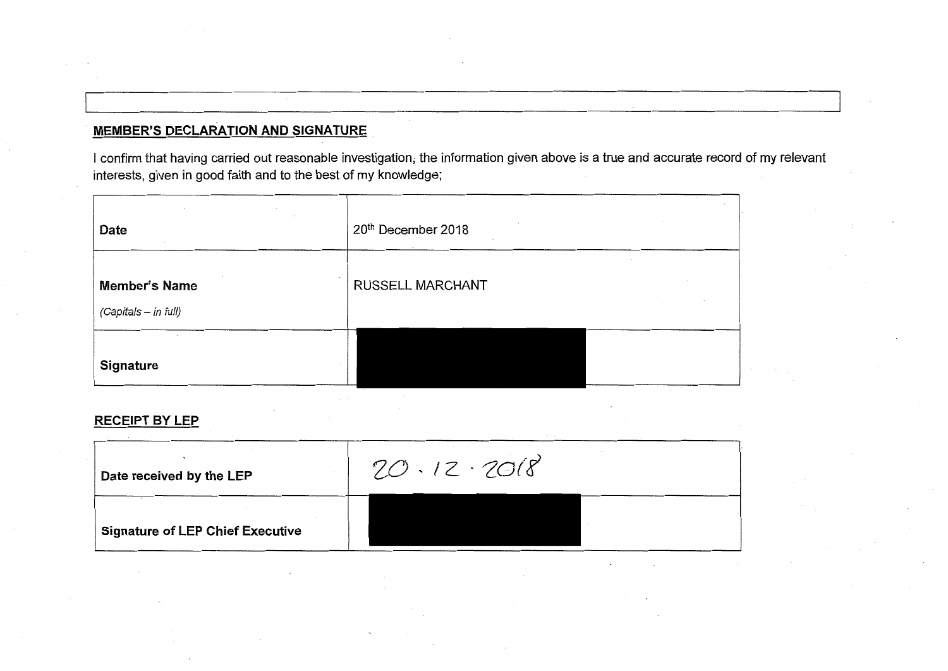# **MEMBER'S DECLARATION AND SIGNATURE**

I confirm that having carried out reasonable investigation, the information given above is a true and accurate record of my relevant interests, given in good faith and to the best of my knowledge;

| Date                                                           | $\sim$ 10 $\pm$<br>20th December 2018 |
|----------------------------------------------------------------|---------------------------------------|
| $\tilde{\phantom{a}}$<br>Member's Name<br>(Capitals - in full) | RUSSELL MARCHANT                      |
| Signature                                                      |                                       |

### **RECEIPT BY LEP**

| Date received by the LEP                | $20.12 \cdot 2018$ |  |
|-----------------------------------------|--------------------|--|
| <b>Signature of LEP Chief Executive</b> |                    |  |